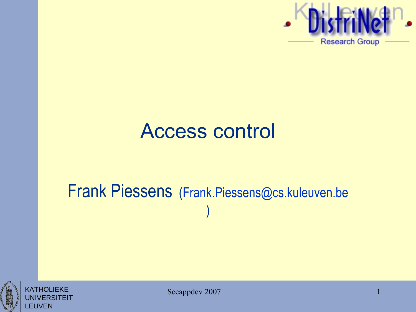

1

#### Access control

#### Frank Piessens [\(Frank.Piessens@cs.kuleuven.be](mailto:Frank.Piessens@cs.kuleuven.be) )



KATHOLIEKE

LEUVEN

**'ERSITEIT** 

Secappdev 2007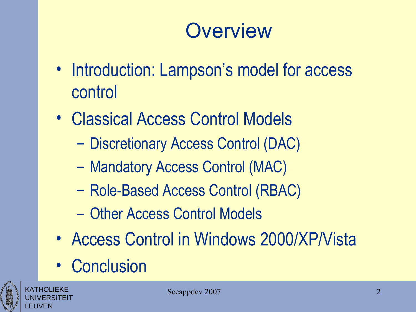## **Overview**

- Introduction: Lampson's model for access control
- Classical Access Control Models
	- Discretionary Access Control (DAC)
	- Mandatory Access Control (MAC)
	- Role-Based Access Control (RBAC)
	- Other Access Control Models
- Access Control in Windows 2000/XP/Vista
- Conclusion



KATHOLIEKE UNIVERSITEIT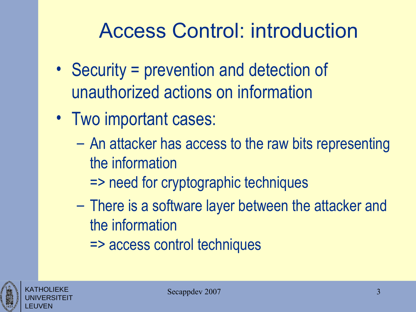# Access Control: introduction

- Security = prevention and detection of unauthorized actions on information
- Two important cases:
	- An attacker has access to the raw bits representing the information
		- => need for cryptographic techniques
	- There is a software layer between the attacker and the information
		- => access control techniques



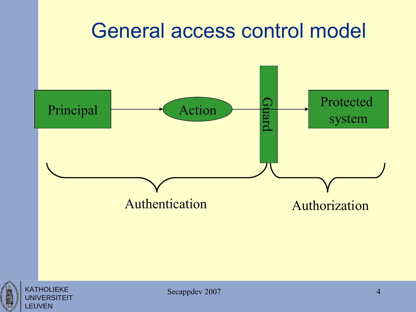#### General access control model



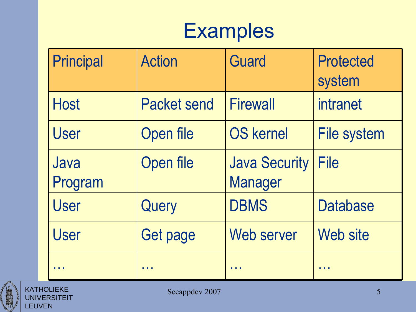#### **Examples**

| Principal       | <b>Action</b>      | <b>Guard</b>                           | <b>Protected</b><br>system |
|-----------------|--------------------|----------------------------------------|----------------------------|
| <b>Host</b>     | <b>Packet send</b> | <b>Firewall</b>                        | intranet                   |
| <b>User</b>     | Open file          | <b>OS kernel</b>                       | <b>File system</b>         |
| Java<br>Program | Open file          | <b>Java Security</b><br><b>Manager</b> | <b>File</b>                |
| <b>User</b>     | Query              | <b>DBMS</b>                            | <b>Database</b>            |
| <b>User</b>     | Get page           | Web server                             | Web site                   |
|                 |                    |                                        |                            |



KATHOLIEKE UNIVERSITEIT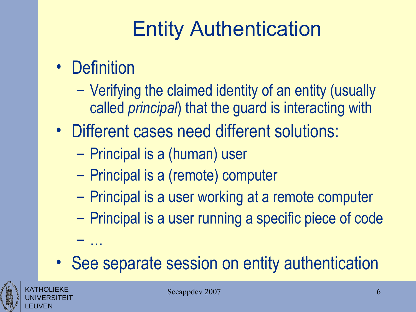# Entity Authentication

• Definition

– …

- Verifying the claimed identity of an entity (usually called *principal*) that the guard is interacting with
- Different cases need different solutions:
	- Principal is a (human) user
	- Principal is a (remote) computer
	- Principal is a user working at a remote computer
	- Principal is a user running a specific piece of code
- See separate session on entity authentication



KATHOLIEKE UNIVERSITEIT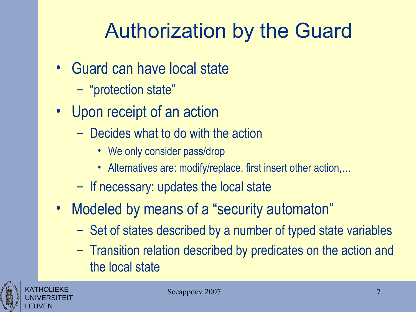# Authorization by the Guard

- Guard can have local state
	- "protection state"
- Upon receipt of an action
	- Decides what to do with the action
		- We only consider pass/drop
		- Alternatives are: modify/replace, first insert other action,...
	- If necessary: updates the local state
- Modeled by means of a "security automaton"
	- Set of states described by a number of typed state variables
	- Transition relation described by predicates on the action and the local state



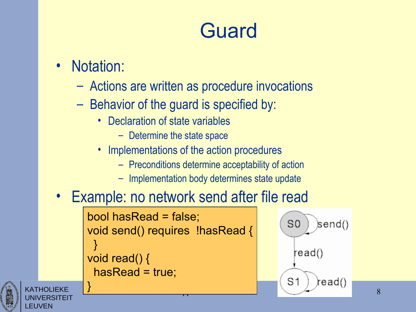#### Guard

#### Notation:

KATHOLIEKE UNIVERSITEIT EUVEN

}

- Actions are written as procedure invocations
- Behavior of the guard is specified by:
	- Declaration of state variables
		- Determine the state space
	- Implementations of the action procedures
		- Preconditions determine acceptability of action
		- Implementation body determines state update

#### Example: no network send after file read

```
bool hasRead = false;
void send() requires !hasRead {
 }
void read() {
 hasRead = true;
```


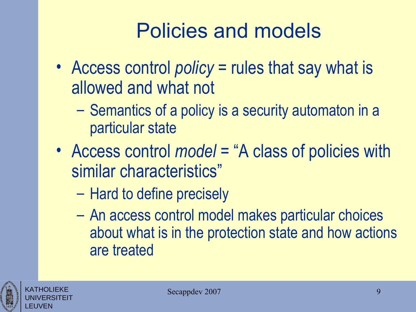# Policies and models

- Access control *policy* = rules that say what is allowed and what not
	- Semantics of a policy is a security automaton in a particular state
- Access control *model* = "A class of policies with similar characteristics"
	- Hard to define precisely
	- An access control model makes particular choices about what is in the protection state and how actions are treated



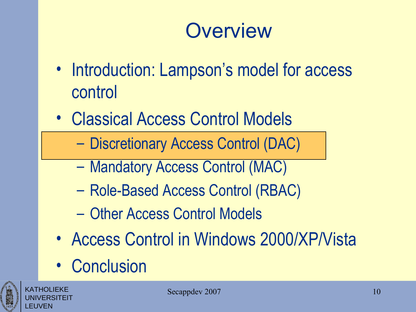#### **Overview**

- Introduction: Lampson's model for access control
- Classical Access Control Models
	- Discretionary Access Control (DAC)
	- Mandatory Access Control (MAC)
	- Role-Based Access Control (RBAC)
	- Other Access Control Models
- Access Control in Windows 2000/XP/Vista
- Conclusion



KATHOLIEKE UNIVERSITEIT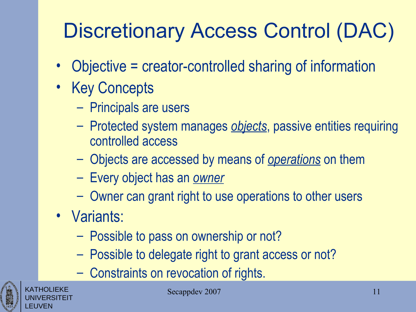# Discretionary Access Control (DAC)

- Objective = creator-controlled sharing of information
- Key Concepts
	- Principals are users
	- Protected system manages *objects*, passive entities requiring controlled access
	- Objects are accessed by means of *operations* on them
	- Every object has an *owner*
	- Owner can grant right to use operations to other users
- Variants:
	- Possible to pass on ownership or not?
	- Possible to delegate right to grant access or not?
	- Constraints on revocation of rights.



KATHOLIEKE UNIVERSITEIT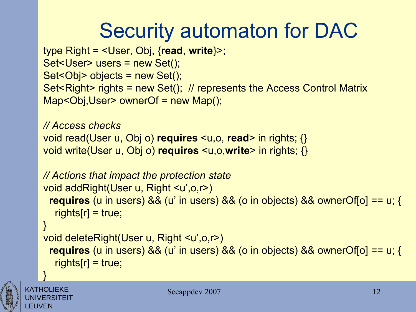# Security automaton for DAC

```
type Right = <User, Obj, {read, write}>;
Set<User> users = new Set();
Set<Obj> objects = new Set();
Set<Right> rights = new Set(); // represents the Access Control Matrix
Map<Obj,User> ownerOf = new Map();
```

```
// Access checks
void read(User u, Obj o) requires <u,o, read> in rights; {} 
void write(User u, Obj o) requires <u,o,write> in rights; {}
```

```
// Actions that impact the protection state
void addRight(User u, Right <u',o,r>) 
 requires (u in users) && (u' in users) && (o in objects) && ownerOf[o] == u; {
  rights[r] = true;} 
void deleteRight(User u, Right <u',o,r>) 
 requires (u in users) && (u' in users) && (o in objects) && ownerOf[o] == u; {
  rights[r] = true;
```


KATHOLIEKE UNIVERSITEIT

}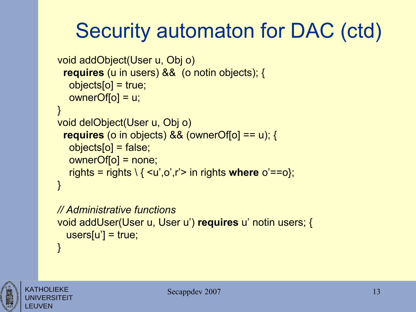# Security automaton for DAC (ctd)

```
void addObject(User u, Obj o) 
 requires (u in users) && (o notin objects); {
   objects[o] = true;
  ownerOf[<math>o</math>] = u;} 
void delObject(User u, Obj o) 
 requires (o in objects) && (ownerOf[o] == u); {
   objects[o] = false;
   ownerOf[o] = none;
   rights = rights \ { <u',o',r'> in rights where o'==o};
} 
// Administrative functions
```

```
void addUser(User u, User u') requires u' notin users; {
 users[u'] = true;}
```


KATHOLIEKE UNIVERSITEIT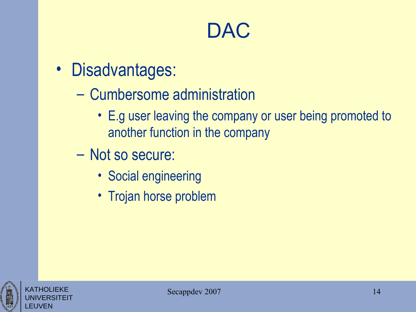#### **DAC**

- Disadvantages:
	- Cumbersome administration
		- E.g user leaving the company or user being promoted to another function in the company
	- Not so secure:
		- Social engineering
		- Trojan horse problem



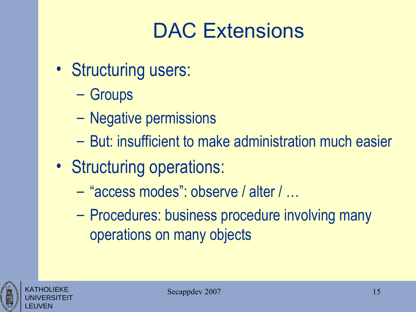# DAC Extensions

- Structuring users:
	- Groups
	- Negative permissions
	- But: insufficient to make administration much easier
- Structuring operations:
	- "access modes": observe / alter / …
	- Procedures: business procedure involving many operations on many objects



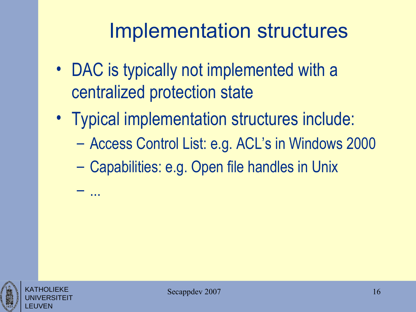# Implementation structures

- DAC is typically not implemented with a centralized protection state
- Typical implementation structures include:
	- Access Control List: e.g. ACL's in Windows 2000
	- Capabilities: e.g. Open file handles in Unix



KATHOLIEKE UNIVERSITEIT – ...

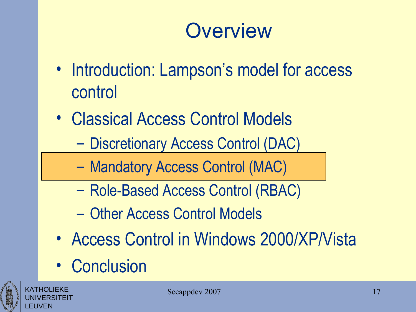#### **Overview**

- Introduction: Lampson's model for access control
- Classical Access Control Models
	- Discretionary Access Control (DAC)
	- Mandatory Access Control (MAC)
	- Role-Based Access Control (RBAC)
	- Other Access Control Models
- Access Control in Windows 2000/XP/Vista
- Conclusion



KATHOLIEKE UNIVERSITEIT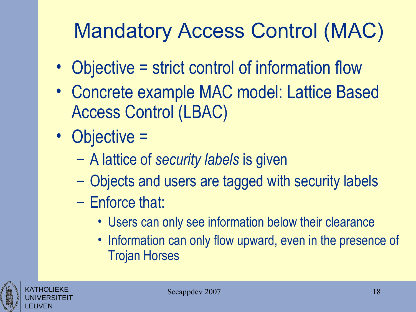# Mandatory Access Control (MAC)

- Objective = strict control of information flow
- Concrete example MAC model: Lattice Based Access Control (LBAC)
- Objective =
	- A lattice of *security labels* is given
	- Objects and users are tagged with security labels
	- Enforce that:
		- Users can only see information below their clearance
		- Information can only flow upward, even in the presence of Trojan Horses



KATHOLIEKE UNIVERSITEIT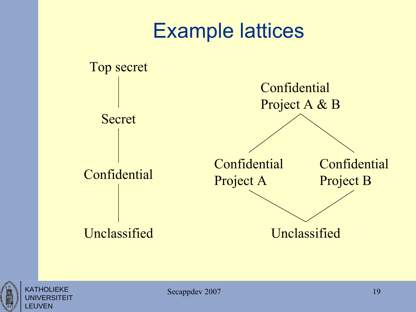



KATHOLIEKE UNIVERSITEIT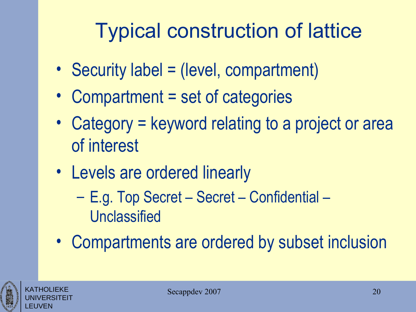# Typical construction of lattice

- Security label = (level, compartment)
- Compartment = set of categories
- Category = keyword relating to a project or area of interest
- Levels are ordered linearly
	- E.g. Top Secret Secret Confidential Unclassified
- Compartments are ordered by subset inclusion



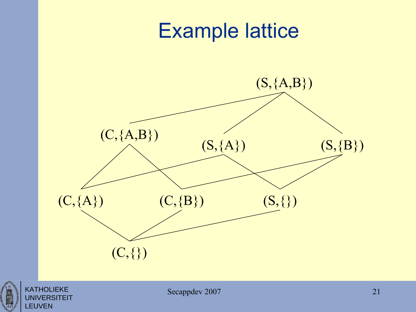

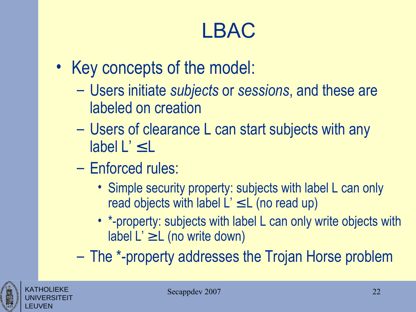# LBAC

- Key concepts of the model:
	- Users initiate *subjects* or *sessions*, and these are labeled on creation
	- Users of clearance L can start subjects with any label  $L' \leq L$
	- Enforced rules:
		- Simple security property: subjects with label L can only read objects with label  $L' \leq L$  (no read up)
		- \*-property: subjects with label L can only write objects with label  $L' \geq L$  (no write down)

– The \*-property addresses the Trojan Horse problem

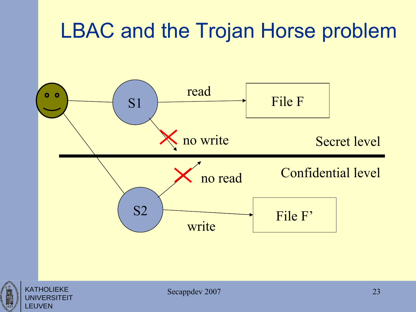# LBAC and the Trojan Horse problem



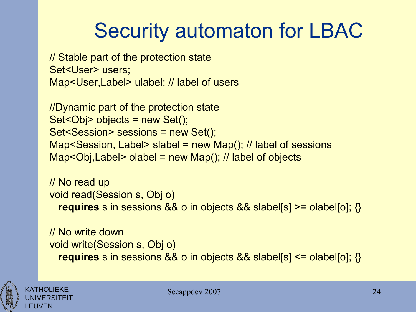# Security automaton for LBAC

// Stable part of the protection state Set<User> users; Map<User,Label> ulabel; // label of users

//Dynamic part of the protection state Set<Obj> objects = new Set(); Set<Session> sessions = new Set(); Map<Session, Label> slabel = new Map(); // label of sessions Map<Obj,Label> olabel = new Map(); // label of objects

// No read up void read(Session s, Obj o) **requires** s in sessions && o in objects && slabel[s] >= olabel[o]; {}

// No write down void write(Session s, Obj o) **requires** s in sessions && o in objects && slabel[s] <= olabel[o]; {}



KATHOLIEKE UNIVERSITEIT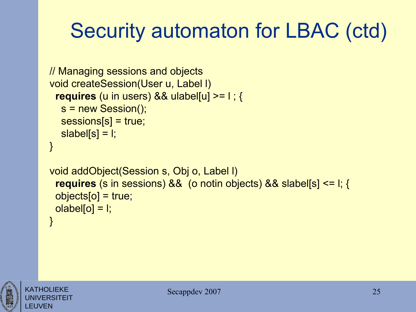# Security automaton for LBAC (ctd)

```
// Managing sessions and objects
void createSession(User u, Label l) 
  requires (u in users) && ulabel[u] >= l ; {
   s = new Session();
   sessions[s] = true; 
  slabel[s] = l;
} 
void addObject(Session s, Obj o, Label l)
  requires (s in sessions) && (o notin objects) && slabel[s] <= l; {
  objects[o] = true;
 olabel[<sub>o</sub>] = 1;}
```


KATHOLIEKE UNIVERSITEIT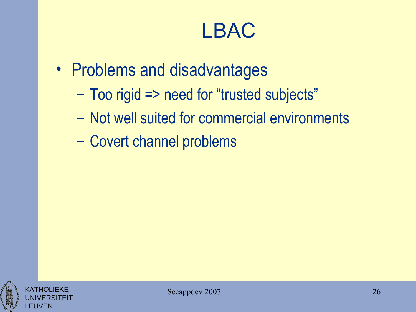#### LBAC

- Problems and disadvantages
	- Too rigid => need for "trusted subjects"
	- Not well suited for commercial environments
	- Covert channel problems



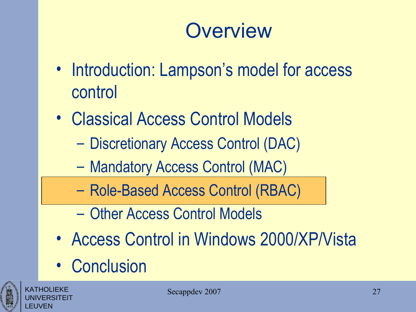#### **Overview**

- Introduction: Lampson's model for access control
- Classical Access Control Models
	- Discretionary Access Control (DAC)
	- Mandatory Access Control (MAC)
	- Role-Based Access Control (RBAC)
	- Other Access Control Models
- Access Control in Windows 2000/XP/Vista
- Conclusion



KATHOLIEKE UNIVERSITEIT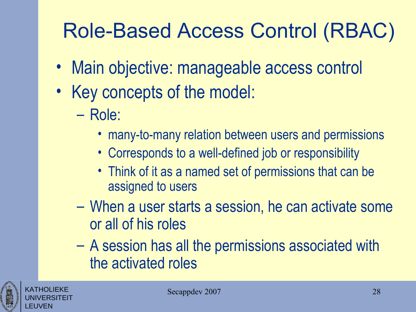# Role-Based Access Control (RBAC)

- Main objective: manageable access control
- Key concepts of the model:
	- Role:
		- many-to-many relation between users and permissions
		- Corresponds to a well-defined job or responsibility
		- Think of it as a named set of permissions that can be assigned to users
	- When a user starts a session, he can activate some or all of his roles
	- A session has all the permissions associated with the activated roles



KATHOLIEKE UNIVERSITEIT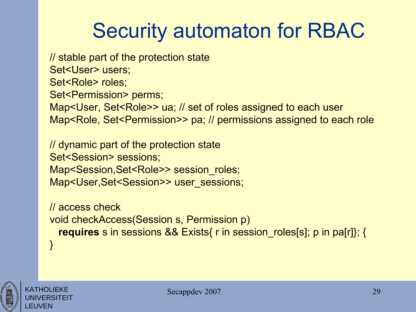# Security automaton for RBAC

// stable part of the protection state Set<User> users; Set<Role> roles; Set<Permission> perms; Map<User, Set<Role>> ua; // set of roles assigned to each user Map<Role, Set<Permission>> pa; // permissions assigned to each role

// dynamic part of the protection state Set<Session> sessions; Map<Session, Set<Role>> session\_roles; Map<User, Set<Session>> user\_sessions;

// access check void checkAccess(Session s, Permission p) **requires** s in sessions && Exists{ r in session\_roles[s]; p in pa[r]}; { }



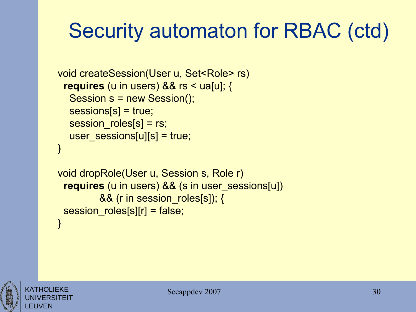# Security automaton for RBAC (ctd)

```
void createSession(User u, Set<Role> rs)
 requires (u in users) && rs < ua[u]; {
   Session s = new Session();
   sessions[s] = true; 
  session_roles[s] = rs;
  user_sessions[u][s] = true;
}
```

```
void dropRole(User u, Session s, Role r) 
 requires (u in users) && (s in user_sessions[u]) 
         && (r in session roles[s]); {
 session_roles[s][r] = false;
}
```
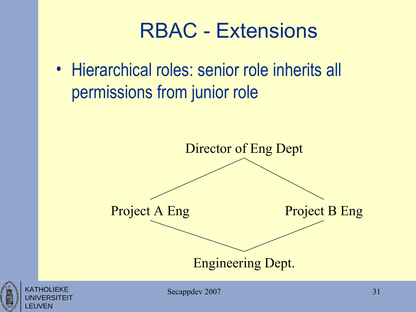#### RBAC - Extensions

• Hierarchical roles: senior role inherits all permissions from junior role



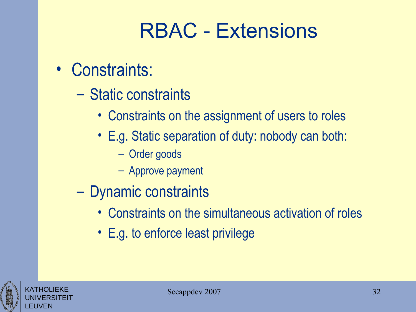#### RBAC - Extensions

- Constraints:
	- Static constraints
		- Constraints on the assignment of users to roles
		- E.g. Static separation of duty: nobody can both:
			- Order goods
			- Approve payment
	- Dynamic constraints
		- Constraints on the simultaneous activation of roles
		- E.g. to enforce least privilege

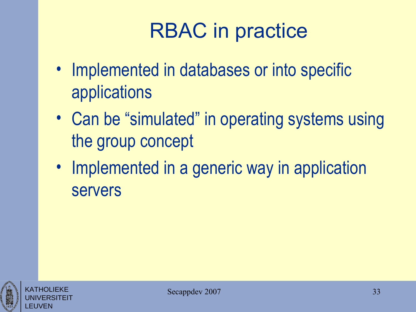# RBAC in practice

- Implemented in databases or into specific applications
- Can be "simulated" in operating systems using the group concept
- Implemented in a generic way in application servers



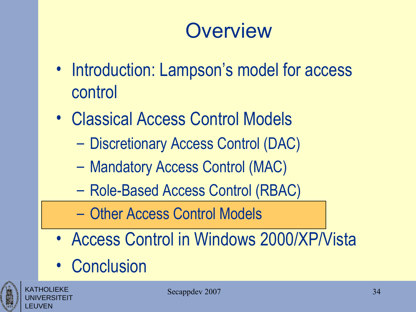#### **Overview**

- Introduction: Lampson's model for access control
- Classical Access Control Models
	- Discretionary Access Control (DAC)
	- Mandatory Access Control (MAC)
	- Role-Based Access Control (RBAC)
	- Other Access Control Models
- Access Control in Windows 2000/XP/Vista
- Conclusion

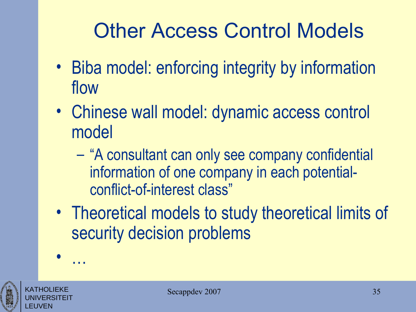# Other Access Control Models

- Biba model: enforcing integrity by information flow
- Chinese wall model: dynamic access control model
	- "A consultant can only see company confidential information of one company in each potentialconflict-of-interest class"
- Theoretical models to study theoretical limits of security decision problems



KATHOLIEKE UNIVERSITEIT

• …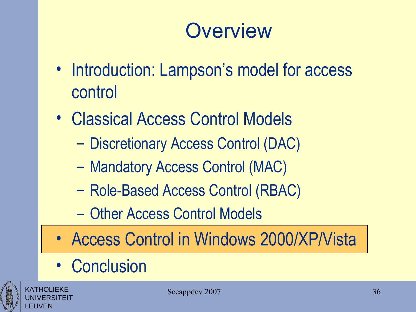## **Overview**

- Introduction: Lampson's model for access control
- Classical Access Control Models
	- Discretionary Access Control (DAC)
	- Mandatory Access Control (MAC)
	- Role-Based Access Control (RBAC)
	- Other Access Control Models
- Access Control in Windows 2000/XP/Vista
- Conclusion



KATHOLIEKE UNIVERSITEIT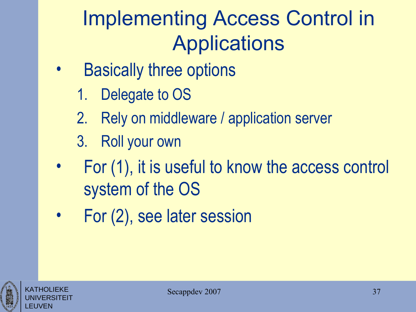# Implementing Access Control in Applications

- **Basically three options** 
	- 1. Delegate to OS
	- 2. Rely on middleware / application server
	- 3. Roll your own
- For (1), it is useful to know the access control system of the OS
- For (2), see later session



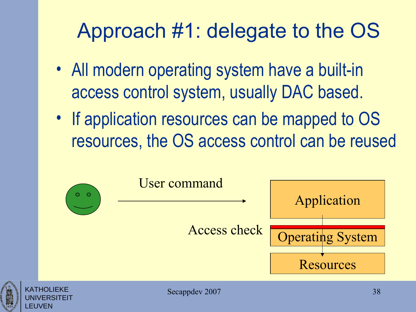# Approach #1: delegate to the OS

- All modern operating system have a built-in access control system, usually DAC based.
- If application resources can be mapped to OS resources, the OS access control can be reused

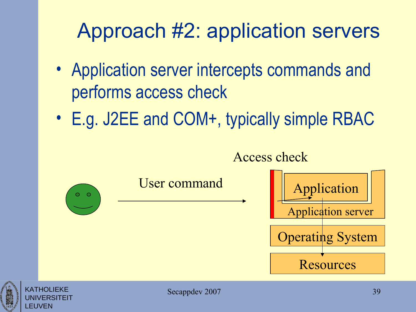# Approach #2: application servers

- Application server intercepts commands and performs access check
- E.g. J2EE and COM+, typically simple RBAC



UNIVERSITEIT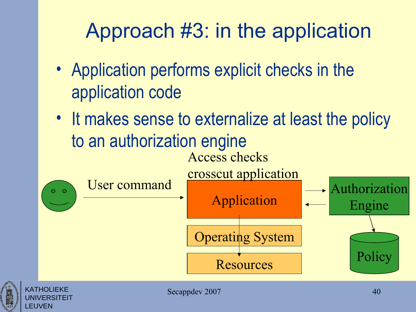# Approach #3: in the application

- Application performs explicit checks in the application code
- It makes sense to externalize at least the policy to an authorization engine Access checks



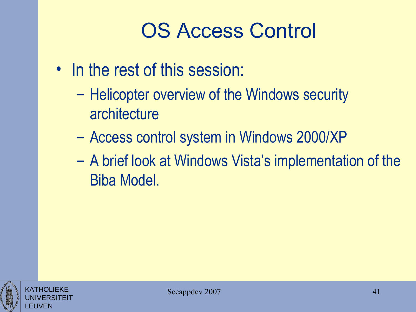# OS Access Control

- In the rest of this session:
	- Helicopter overview of the Windows security architecture
	- Access control system in Windows 2000/XP
	- A brief look at Windows Vista's implementation of the Biba Model.



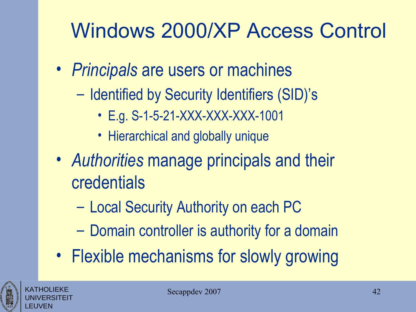- *Principals* are users or machines
	- Identified by Security Identifiers (SID)'s
		- E.g. S-1-5-21-XXX-XXX-XXX-1001
		- Hierarchical and globally unique
- *Authorities* manage principals and their credentials
	- Local Security Authority on each PC
	- Domain controller is authority for a domain
- Flexible mechanisms for slowly growing



KATHOLIEKE UNIVERSITEIT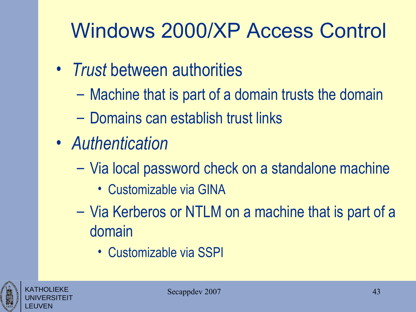- *Trust* between authorities
	- Machine that is part of a domain trusts the domain
	- Domains can establish trust links
- *Authentication*
	- Via local password check on a standalone machine
		- Customizable via GINA
	- Via Kerberos or NTLM on a machine that is part of a domain
		- Customizable via SSPI



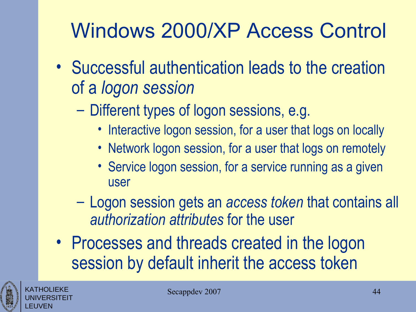- Successful authentication leads to the creation of a *logon session*
	- Different types of logon sessions, e.g.
		- Interactive logon session, for a user that logs on locally
		- Network logon session, for a user that logs on remotely
		- Service logon session, for a service running as a given user
	- Logon session gets an *access token* that contains all *authorization attributes* for the user
- Processes and threads created in the logon session by default inherit the access token



KATHOLIEKE UNIVERSITEIT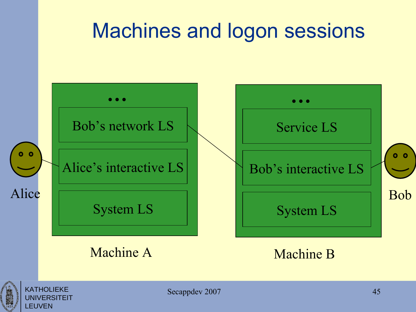#### Machines and logon sessions





KATHOLIEKE **INIVERSITEIT** 

LEUVEN

Secappdev 2007 45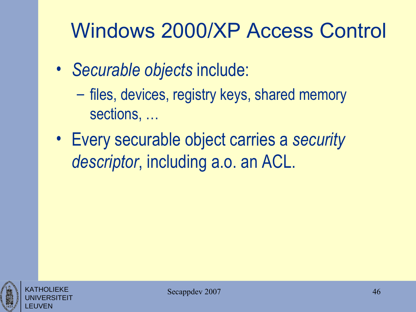- *Securable objects* include:
	- files, devices, registry keys, shared memory sections, …
- Every securable object carries a *security descriptor*, including a.o. an ACL.



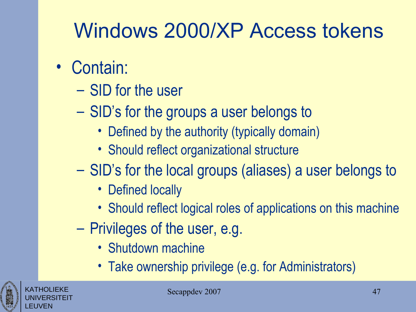# Windows 2000/XP Access tokens

- Contain:
	- SID for the user
	- SID's for the groups a user belongs to
		- Defined by the authority (typically domain)
		- Should reflect organizational structure
	- SID's for the local groups (aliases) a user belongs to
		- Defined locally
		- Should reflect logical roles of applications on this machine
	- Privileges of the user, e.g.
		- Shutdown machine
		- Take ownership privilege (e.g. for Administrators)



KATHOLIEKE UNIVERSITEIT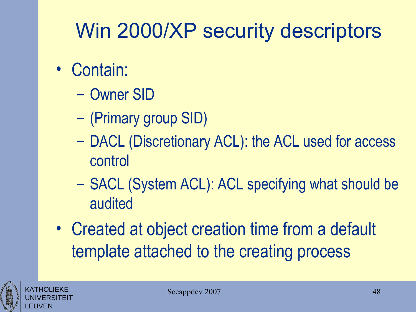# Win 2000/XP security descriptors

- Contain:
	- Owner SID
	- (Primary group SID)
	- DACL (Discretionary ACL): the ACL used for access control
	- SACL (System ACL): ACL specifying what should be audited
- Created at object creation time from a default template attached to the creating process



KATHOLIEKE UNIVERSITEIT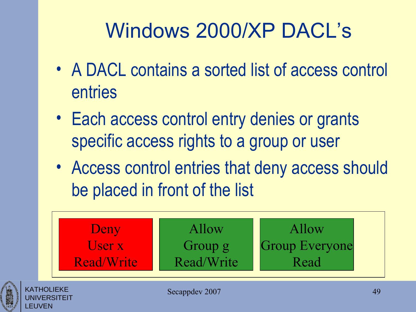# Windows 2000/XP DACL's

- A DACL contains a sorted list of access control entries
- Each access control entry denies or grants specific access rights to a group or user
- Access control entries that deny access should be placed in front of the list





UNIVERSITEIT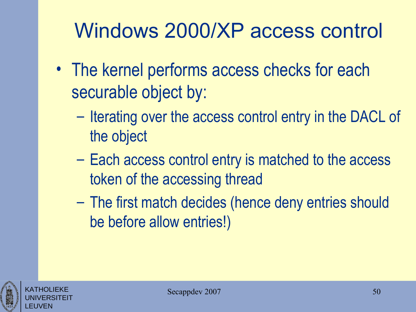- The kernel performs access checks for each securable object by:
	- Iterating over the access control entry in the DACL of the object
	- Each access control entry is matched to the access token of the accessing thread
	- The first match decides (hence deny entries should be before allow entries!)



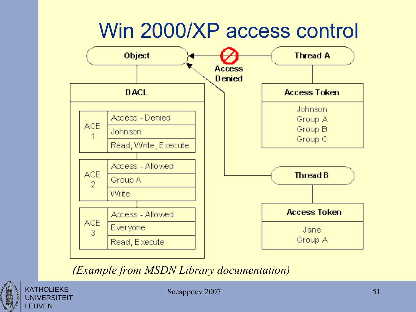#### Win 2000/XP access control



*(Example from MSDN Library documentation)*



**UNIVERSITEIT** 

Secappdev 2007 51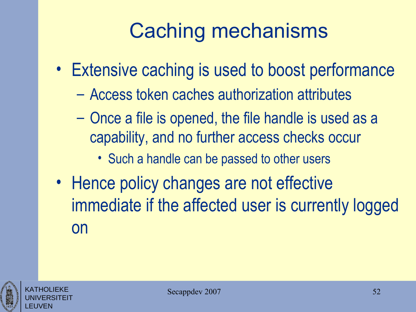# Caching mechanisms

- Extensive caching is used to boost performance
	- Access token caches authorization attributes
	- Once a file is opened, the file handle is used as a capability, and no further access checks occur
		- Such a handle can be passed to other users
- Hence policy changes are not effective immediate if the affected user is currently logged on



KATHOLIEKE UNIVERSITEIT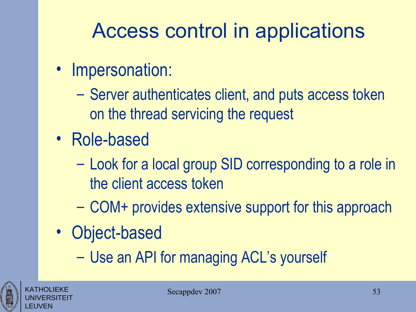# Access control in applications

- Impersonation:
	- Server authenticates client, and puts access token on the thread servicing the request
- Role-based
	- Look for a local group SID corresponding to a role in the client access token
	- COM+ provides extensive support for this approach
- Object-based
	- Use an API for managing ACL's yourself



KATHOLIEKE UNIVERSITEIT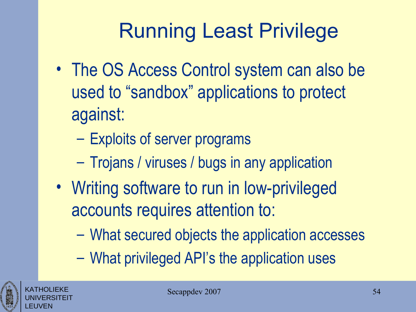# Running Least Privilege

- The OS Access Control system can also be used to "sandbox" applications to protect against:
	- Exploits of server programs
	- Trojans / viruses / bugs in any application
- Writing software to run in low-privileged accounts requires attention to:
	- What secured objects the application accesses
	- What privileged API's the application uses



KATHOLIEKE UNIVERSITEIT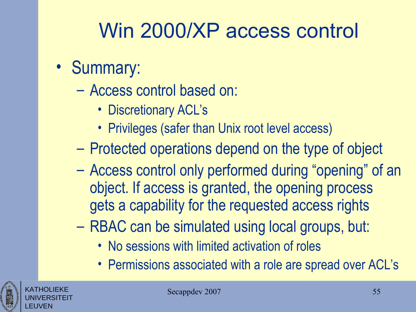# Win 2000/XP access control

- Summary:
	- Access control based on:
		- Discretionary ACL's
		- Privileges (safer than Unix root level access)
	- Protected operations depend on the type of object
	- Access control only performed during "opening" of an object. If access is granted, the opening process gets a capability for the requested access rights
	- RBAC can be simulated using local groups, but:
		- No sessions with limited activation of roles
		- Permissions associated with a role are spread over ACL's



KATHOLIEKE UNIVERSITEIT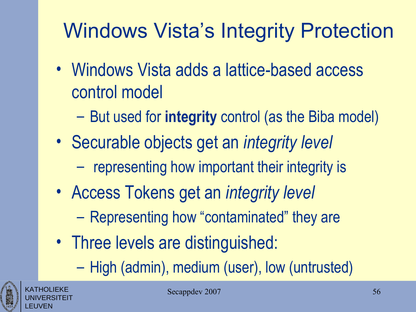# Windows Vista's Integrity Protection

- Windows Vista adds a lattice-based access control model
	- But used for **integrity** control (as the Biba model)
- Securable objects get an *integrity level*
	- representing how important their integrity is
- Access Tokens get an *integrity level*
	- Representing how "contaminated" they are
- Three levels are distinguished:
	- High (admin), medium (user), low (untrusted)



KATHOLIEKE UNIVERSITEIT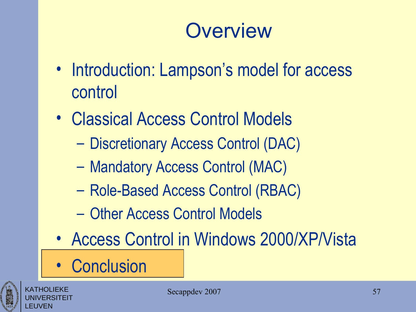#### **Overview**

- Introduction: Lampson's model for access control
- Classical Access Control Models
	- Discretionary Access Control (DAC)
	- Mandatory Access Control (MAC)
	- Role-Based Access Control (RBAC)
	- Other Access Control Models
- Access Control in Windows 2000/XP/Vista
- Conclusion



KATHOLIEKE UNIVERSITEIT